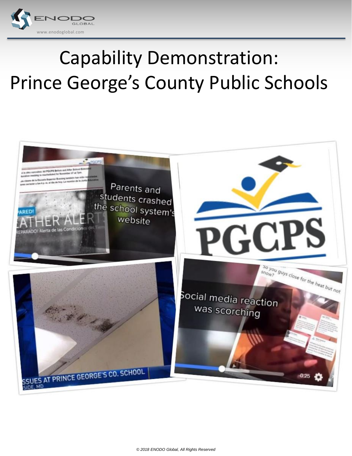

# Capability Demonstration: Prince George's County Public Schools

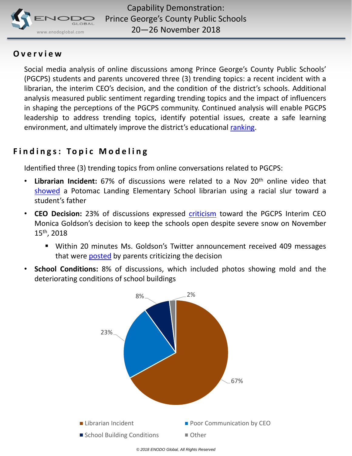

### **O v e r v i e w**

Social media analysis of online discussions among Prince George's County Public Schools' (PGCPS) students and parents uncovered three (3) trending topics: a recent incident with a librarian, the interim CEO's decision, and the condition of the district's schools. Additional analysis measured public sentiment regarding trending topics and the impact of influencers in shaping the perceptions of the PGCPS community. Continued analysis will enable PGCPS leadership to address trending topics, identify potential issues, create a safe learning environment, and ultimately improve the district's educational [ranking](https://www.niche.com/k12/d/prince-georges-county-public-schools-md/).

## **Findings: Topic Modeling**

Identified three (3) trending topics from online conversations related to PGCPS:

- **Librarian Incident:** 67% of discussions were related to a Nov 20th online video that [showed](https://www.nbcwashington.com/news/local/Maryland-School-Librarian-Retires-After-Admitting-Racial-Slur-in-Viral-Video-500972271.html?utm_source=dlvr.it&utm_medium=twitter) a Potomac Landing Elementary School librarian using a racial slur toward a student's father
- **CEO Decision:** 23% of discussions expressed [criticism](https://www.nbcwashington.com/news/local/Prince-Georges-County-Public-Schools-CEO-Apologizes-for-Keeping-Schools-Open-Thursday-Despite-Weather-500702422.html?utm_source=dlvr.it&utm_medium=twitter) toward the PGCPS Interim CEO Monica Goldson's decision to keep the schools open despite severe snow on November 15th , 2018
	- Within 20 minutes Ms. Goldson's Twitter announcement received 409 messages that were **[posted](https://twitter.com/jmelomanie/status/1063045566920318977?ref_src=twsrc^tfw|twcamp^tweetembed|twterm^1063045566920318977&ref_url=https://www.nbcwashington.com/news/local/Prince-Georges-County-Public-Schools-CEO-Apologizes-for-Keeping-Schools-Open-Thursday-Despite-Weather-500702422.html)** by parents criticizing the decision
- **School Conditions:** 8% of discussions, which included photos showing mold and the deteriorating conditions of school buildings

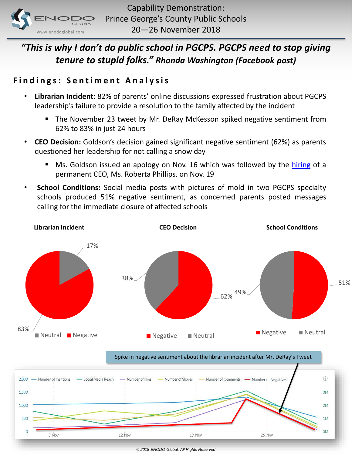

# *"This is why I don't do public school in PGCPS. PGCPS need to stop giving tenure to stupid folks." Rhonda Washington (Facebook post)*

### **Findings: Sentiment Analysis**

- **Librarian Incident**: 82% of parents' online discussions expressed frustration about PGCPS leadership's failure to provide a resolution to the family affected by the incident
	- The November 23 tweet by Mr. DeRay McKesson spiked negative sentiment from 62% to 83% in just 24 hours
- **CEO Decision:** Goldson's decision gained significant negative sentiment (62%) as parents questioned her leadership for not calling a snow day
	- **Ms.** Goldson issued an apology on Nov. 16 which was followed by the [hiring](https://www.facebook.com/mayor.malindamiles/posts/1656447357789714) of a permanent CEO, Ms. Roberta Phillips, on Nov. 19
- **School Conditions:** Social media posts with pictures of mold in two PGCPS specialty schools produced 51% negative sentiment, as concerned parents posted messages calling for the immediate closure of affected schools



Spike in negative sentiment about the librarian incident after Mr. DeRay's Tweet

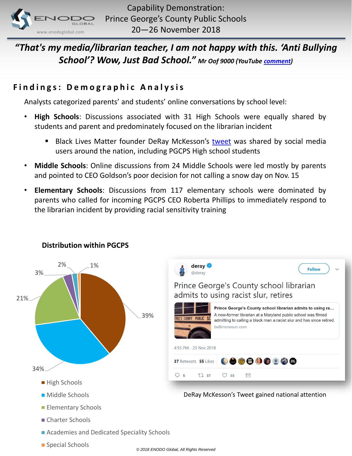

# *"That's my media/librarian teacher, I am not happy with this. 'Anti Bullying School'? Wow, Just Bad School." Mr Oof 9000 (YouTube [comment\)](https://www.youtube.com/watch?v=Bh1kr5Ekm2A)*

## **F i n d i n g s: D e m o g r a p h i c A n a l y s i s**

Analysts categorized parents' and students' online conversations by school level:

- **High Schools**: Discussions associated with 31 High Schools were equally shared by students and parent and predominately focused on the librarian incident
	- Black Lives Matter founder DeRay McKesson's [tweet](https://twitter.com/deray/status/1066087796732018688) was shared by social media users around the nation, including PGCPS High school students
- **Middle Schools**: Online discussions from 24 Middle Schools were led mostly by parents and pointed to CEO Goldson's poor decision for not calling a snow day on Nov. 15
- **Elementary Schools**: Discussions from 117 elementary schools were dominated by parents who called for incoming PGCPS CEO Roberta Phillips to immediately respond to the librarian incident by providing racial sensitivity training



#### **Distribution within PGCPS**

■ Special Schools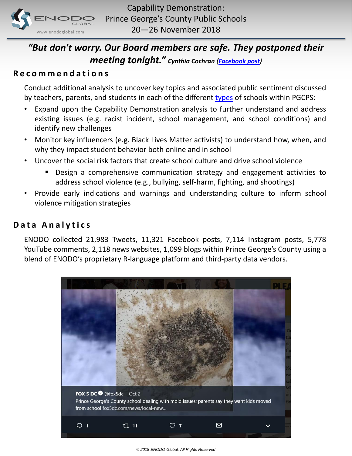

## *"But don't worry. Our Board members are safe. They postponed their meeting tonight." Cynthia Cochran [\(Facebook post](https://www.facebook.com/search/str/Prince+George))*

#### **R e c o m m e n d a t i o n s**

Conduct additional analysis to uncover key topics and associated public sentiment discussed by teachers, parents, and students in each of the different [types](https://www.pgcps.org/schools/) of schools within PGCPS:

- Expand upon the Capability Demonstration analysis to further understand and address existing issues (e.g. racist incident, school management, and school conditions) and identify new challenges
- Monitor key influencers (e.g. Black Lives Matter activists) to understand how, when, and why they impact student behavior both online and in school
- Uncover the social risk factors that create school culture and drive school violence
	- Design a comprehensive communication strategy and engagement activities to address school violence (e.g., bullying, self-harm, fighting, and shootings)
- Provide early indications and warnings and understanding culture to inform school violence mitigation strategies

#### **Data Analytics**

ENODO collected 21,983 Tweets, 11,321 Facebook posts, 7,114 Instagram posts, 5,778 YouTube comments, 2,118 news websites, 1,099 blogs within Prince George's County using a blend of ENODO's proprietary R-language platform and third-party data vendors.